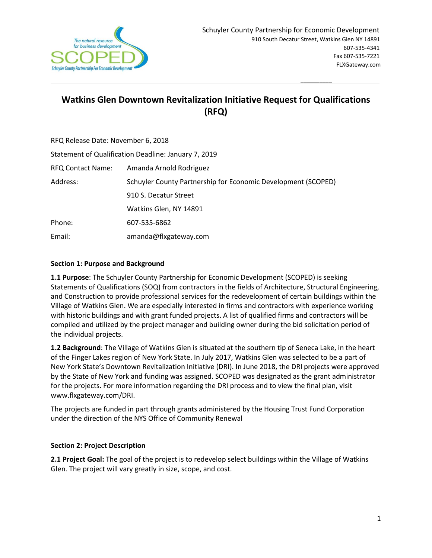

# **Watkins Glen Downtown Revitalization Initiative Request for Qualifications (RFQ)**

| RFQ Release Date: November 6, 2018                   |                                                               |
|------------------------------------------------------|---------------------------------------------------------------|
| Statement of Qualification Deadline: January 7, 2019 |                                                               |
| RFQ Contact Name:                                    | Amanda Arnold Rodriguez                                       |
| Address:                                             | Schuyler County Partnership for Economic Development (SCOPED) |
|                                                      | 910 S. Decatur Street                                         |
|                                                      | Watkins Glen, NY 14891                                        |
| Phone:                                               | 607-535-6862                                                  |
| Email:                                               | amanda@flxgateway.com                                         |

 $\overline{\phantom{a}}$  , and the contract of the contract of the contract of the contract of the contract of the contract of the contract of the contract of the contract of the contract of the contract of the contract of the contrac

### **Section 1: Purpose and Background**

**1.1 Purpose**: The Schuyler County Partnership for Economic Development (SCOPED) is seeking Statements of Qualifications (SOQ) from contractors in the fields of Architecture, Structural Engineering, and Construction to provide professional services for the redevelopment of certain buildings within the Village of Watkins Glen. We are especially interested in firms and contractors with experience working with historic buildings and with grant funded projects. A list of qualified firms and contractors will be compiled and utilized by the project manager and building owner during the bid solicitation period of the individual projects.

**1.2 Background**: The Village of Watkins Glen is situated at the southern tip of Seneca Lake, in the heart of the Finger Lakes region of New York State. In July 2017, Watkins Glen was selected to be a part of New York State's Downtown Revitalization Initiative (DRI). In June 2018, the DRI projects were approved by the State of New York and funding was assigned. SCOPED was designated as the grant administrator for the projects. For more information regarding the DRI process and to view the final plan, visit www.flxgateway.com/DRI.

The projects are funded in part through grants administered by the Housing Trust Fund Corporation under the direction of the NYS Office of Community Renewal

## **Section 2: Project Description**

**2.1 Project Goal:** The goal of the project is to redevelop select buildings within the Village of Watkins Glen. The project will vary greatly in size, scope, and cost.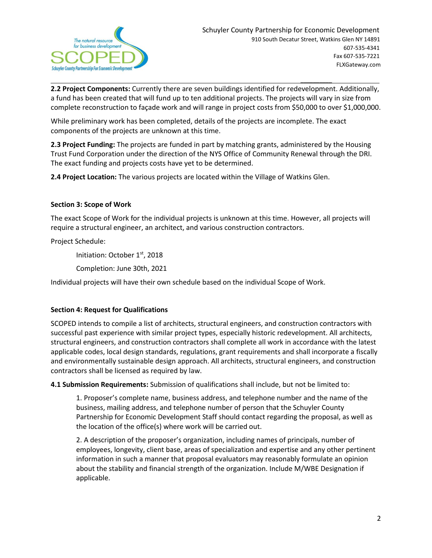

**2.2 Project Components:** Currently there are seven buildings identified for redevelopment. Additionally, a fund has been created that will fund up to ten additional projects. The projects will vary in size from complete reconstruction to façade work and will range in project costs from \$50,000 to over \$1,000,000.

While preliminary work has been completed, details of the projects are incomplete. The exact components of the projects are unknown at this time.

 $\overline{\phantom{a}}$  , and the contract of the contract of the contract of the contract of the contract of the contract of the contract of the contract of the contract of the contract of the contract of the contract of the contrac

**2.3 Project Funding:** The projects are funded in part by matching grants, administered by the Housing Trust Fund Corporation under the direction of the NYS Office of Community Renewal through the DRI. The exact funding and projects costs have yet to be determined.

**2.4 Project Location:** The various projects are located within the Village of Watkins Glen.

#### **Section 3: Scope of Work**

The exact Scope of Work for the individual projects is unknown at this time. However, all projects will require a structural engineer, an architect, and various construction contractors.

Project Schedule:

Initiation: October 1st, 2018

Completion: June 30th, 2021

Individual projects will have their own schedule based on the individual Scope of Work.

#### **Section 4: Request for Qualifications**

SCOPED intends to compile a list of architects, structural engineers, and construction contractors with successful past experience with similar project types, especially historic redevelopment. All architects, structural engineers, and construction contractors shall complete all work in accordance with the latest applicable codes, local design standards, regulations, grant requirements and shall incorporate a fiscally and environmentally sustainable design approach. All architects, structural engineers, and construction contractors shall be licensed as required by law.

**4.1 Submission Requirements:** Submission of qualifications shall include, but not be limited to:

1. Proposer's complete name, business address, and telephone number and the name of the business, mailing address, and telephone number of person that the Schuyler County Partnership for Economic Development Staff should contact regarding the proposal, as well as the location of the office(s) where work will be carried out.

2. A description of the proposer's organization, including names of principals, number of employees, longevity, client base, areas of specialization and expertise and any other pertinent information in such a manner that proposal evaluators may reasonably formulate an opinion about the stability and financial strength of the organization. Include M/WBE Designation if applicable.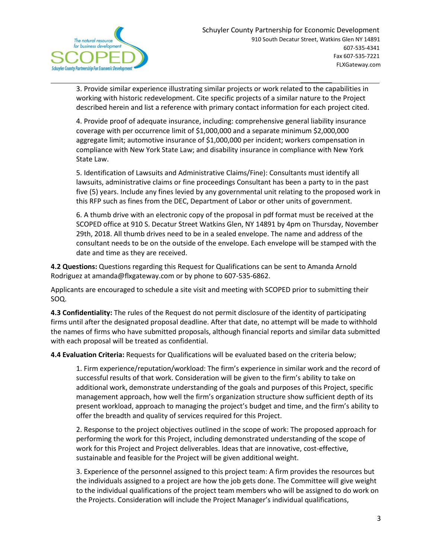

3. Provide similar experience illustrating similar projects or work related to the capabilities in working with historic redevelopment. Cite specific projects of a similar nature to the Project described herein and list a reference with primary contact information for each project cited.

 $\overline{\phantom{a}}$  , and the contract of the contract of the contract of the contract of the contract of the contract of the contract of the contract of the contract of the contract of the contract of the contract of the contrac

4. Provide proof of adequate insurance, including: comprehensive general liability insurance coverage with per occurrence limit of \$1,000,000 and a separate minimum \$2,000,000 aggregate limit; automotive insurance of \$1,000,000 per incident; workers compensation in compliance with New York State Law; and disability insurance in compliance with New York State Law.

5. Identification of Lawsuits and Administrative Claims/Fine): Consultants must identify all lawsuits, administrative claims or fine proceedings Consultant has been a party to in the past five (5) years. Include any fines levied by any governmental unit relating to the proposed work in this RFP such as fines from the DEC, Department of Labor or other units of government.

6. A thumb drive with an electronic copy of the proposal in pdf format must be received at the SCOPED office at 910 S. Decatur Street Watkins Glen, NY 14891 by 4pm on Thursday, November 29th, 2018. All thumb drives need to be in a sealed envelope. The name and address of the consultant needs to be on the outside of the envelope. Each envelope will be stamped with the date and time as they are received.

**4.2 Questions:** Questions regarding this Request for Qualifications can be sent to Amanda Arnold Rodriguez at amanda@flxgateway.com or by phone to 607-535-6862.

Applicants are encouraged to schedule a site visit and meeting with SCOPED prior to submitting their SOQ.

**4.3 Confidentiality:** The rules of the Request do not permit disclosure of the identity of participating firms until after the designated proposal deadline. After that date, no attempt will be made to withhold the names of firms who have submitted proposals, although financial reports and similar data submitted with each proposal will be treated as confidential.

**4.4 Evaluation Criteria:** Requests for Qualifications will be evaluated based on the criteria below;

1. Firm experience/reputation/workload: The firm's experience in similar work and the record of successful results of that work. Consideration will be given to the firm's ability to take on additional work, demonstrate understanding of the goals and purposes of this Project, specific management approach, how well the firm's organization structure show sufficient depth of its present workload, approach to managing the project's budget and time, and the firm's ability to offer the breadth and quality of services required for this Project.

2. Response to the project objectives outlined in the scope of work: The proposed approach for performing the work for this Project, including demonstrated understanding of the scope of work for this Project and Project deliverables. Ideas that are innovative, cost-effective, sustainable and feasible for the Project will be given additional weight.

3. Experience of the personnel assigned to this project team: A firm provides the resources but the individuals assigned to a project are how the job gets done. The Committee will give weight to the individual qualifications of the project team members who will be assigned to do work on the Projects. Consideration will include the Project Manager's individual qualifications,